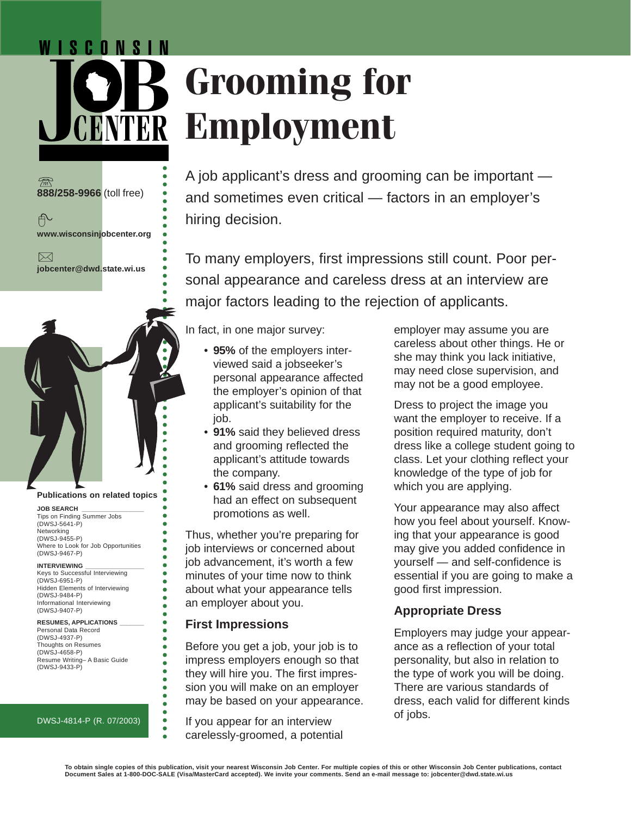# WISCONSIN **Grooming for Employment**

A job applicant's dress and grooming can be important and sometimes even critical — factors in an employer's hiring decision.

To many employers, first impressions still count. Poor personal appearance and careless dress at an interview are major factors leading to the rejection of applicants.

In fact, in one major survey:

- **95%** of the employers interviewed said a jobseeker's personal appearance affected the employer's opinion of that applicant's suitability for the job.
- **91%** said they believed dress and grooming reflected the applicant's attitude towards the company.
- **61%** said dress and grooming had an effect on subsequent promotions as well.

Thus, whether you're preparing for job interviews or concerned about job advancement, it's worth a few minutes of your time now to think about what your appearance tells an employer about you.

# **First Impressions**

○○○○○○○○○○○○○○○○○○○○○○○○○○

ō ä  $\bullet$  $\bullet$  $\bullet$  $\bullet$ 

ŏ

ō Ä ō ä  $\bullet$ 

ō

Before you get a job, your job is to impress employers enough so that they will hire you. The first impression you will make on an employer may be based on your appearance.

If you appear for an interview carelessly-groomed, a potential employer may assume you are careless about other things. He or she may think you lack initiative, may need close supervision, and may not be a good employee.

Dress to project the image you want the employer to receive. If a position required maturity, don't dress like a college student going to class. Let your clothing reflect your knowledge of the type of job for which you are applying.

Your appearance may also affect how you feel about yourself. Knowing that your appearance is good may give you added confidence in yourself — and self-confidence is essential if you are going to make a good first impression.

# **Appropriate Dress**

Employers may judge your appearance as a reflection of your total personality, but also in relation to the type of work you will be doing. There are various standards of dress, each valid for different kinds of jobs.

#### Personal Data Record (DWSJ-4937-P)

Thoughts on Resumes (DWSJ-4658-P) Resume Writing– A Basic Guide (DWSJ-9433-P)

**RESUMES, APPLICATIONS \_\_\_\_\_\_\_**

### DWSJ-4814-P (R. 07/2003)



**Publications on related topics**

Tips on Finding Summer Jobs

Where to Look for Job Opportunities

Keys to Successful Interviewing

Hidden Elements of Interviewing

**JOB SEARCH \_\_\_\_\_\_\_\_\_\_\_\_\_\_\_\_\_\_**

(DWSJ-5641-P) **Networking** (DWSJ-9455-P)

(DWSJ-9467-P) **INTERVIEWING \_\_\_\_\_\_\_\_\_\_\_\_\_\_\_\_\_**

(DWSJ-6951-P)

(DWSJ-9484-P) Informational Interviewing (DWSJ-9407-P)

**888/258-9966** (toll free)

币

 $\bowtie$ 

**www.wisconsinjobcenter.org**

**jobcenter@dwd.state.wi.us**